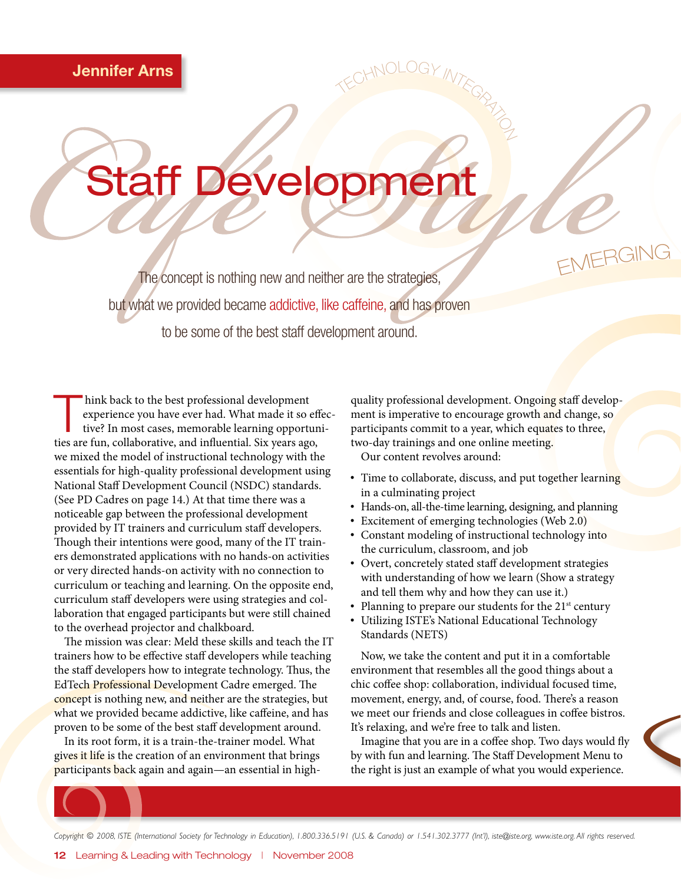# Staff Development

The concept is nothing new and neither are the strategies, but what we provided became addictive, like caffeine, and has proven to be some of the best staff development around.

hink back to the best professional development<br>
experience you have ever had. What made it so effective?<br>
In most cases, memorable learning opportuniexperience you have ever had. What made it so effecties are fun, collaborative, and influential. Six years ago, we mixed the model of instructional technology with the essentials for high-quality professional development using National Staff Development Council (NSDC) standards. (See PD Cadres on page 14.) At that time there was a noticeable gap between the professional development provided by IT trainers and curriculum staff developers. Though their intentions were good, many of the IT trainers demonstrated applications with no hands-on activities or very directed hands-on activity with no connection to curriculum or teaching and learning. On the opposite end, curriculum staff developers were using strategies and collaboration that engaged participants but were still chained to the overhead projector and chalkboard.

The mission was clear: Meld these skills and teach the IT trainers how to be effective staff developers while teaching the staff developers how to integrate technology. Thus, the EdTech Professional Development Cadre emerged. The concept is nothing new, and neither are the strategies, but what we provided became addictive, like caffeine, and has proven to be some of the best staff development around.

In its root form, it is a train-the-trainer model. What gives it life is the creation of an environment that brings participants back again and again—an essential in high-

quality professional development. Ongoing staff development is imperative to encourage growth and change, so participants commit to a year, which equates to three, two-day trainings and one online meeting. Our content revolves around:

 $TNERGING$ 

TECHNOLOGY INTEGRATION

- Time to collaborate, discuss, and put together learning in a culminating project
- Hands-on, all-the-time learning, designing, and planning
- Excitement of emerging technologies (Web 2.0)
- Constant modeling of instructional technology into the curriculum, classroom, and job
- Overt, concretely stated staff development strategies with understanding of how we learn (Show a strategy and tell them why and how they can use it.)
- Planning to prepare our students for the  $21<sup>st</sup>$  century
- Utilizing ISTE's National Educational Technology Standards (NETS)

Now, we take the content and put it in a comfortable environment that resembles all the good things about a chic coffee shop: collaboration, individual focused time, movement, energy, and, of course, food. There's a reason we meet our friends and close colleagues in coffee bistros. It's relaxing, and we're free to talk and listen.

Imagine that you are in a coffee shop. Two days would fly by with fun and learning. The Staff Development Menu to the right is just an example of what you would experience.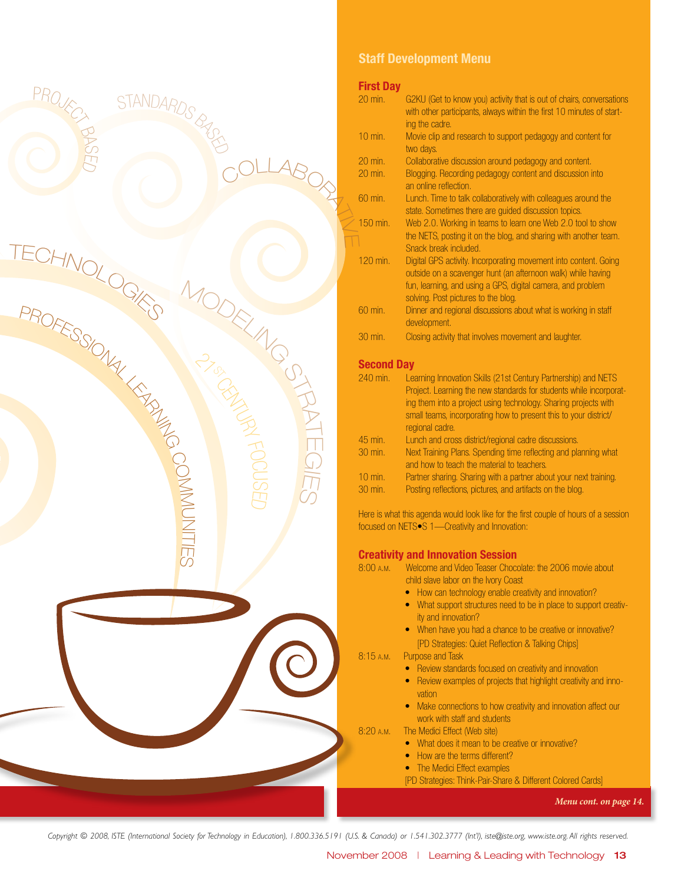

### Staff Development Menu

**First Day** G2KU (Get to know you) activity that is out of chairs, conversations with other participants, always within the first 10 minutes of starting the cadre. 10 min. Movie clip and research to support pedagogy and content for two days. 20 min. Collaborative discussion around pedagogy and content. 20 min. Blogging. Recording pedagogy content and discussion into an online reflection. 60 min. Lunch. Time to talk collaboratively with colleagues around the state. Sometimes there are guided discussion topics. 150 min. Web 2.0. Working in teams to learn one Web 2.0 tool to show the NETS, posting it on the blog, and sharing with another team. Snack break included. 120 min. Digital GPS activity. Incorporating movement into content. Going outside on a scavenger hunt (an afternoon walk) while having fun, learning, and using a GPS, digital camera, and problem solving. Post pictures to the blog. 60 min. Dinner and regional discussions about what is working in staff development. 30 min. Closing activity that involves movement and laughter. Second Day 240 min. Learning Innovation Skills (21st Century Partnership) and NETS Project. Learning the new standards for students while incorporating them into a project using technology. Sharing projects with small teams, incorporating how to present this to your district/ regional cadre. 45 min. Lunch and cross district/regional cadre discussions. 30 min. Next Training Plans. Spending time reflecting and planning what

and how to teach the material to teachers. 10 min. Partner sharing. Sharing with a partner about your next training. 30 min. Posting reflections, pictures, and artifacts on the blog.

Here is what this agenda would look like for the first couple of hours of a session focused on NETS•S 1—Creativity and Innovation:

#### Creativity and Innovation Session

8:00 a.m. Welcome and Video Teaser Chocolate: the 2006 movie about child slave labor on the Ivory Coast

- How can technology enable creativity and innovation?
- What support structures need to be in place to support creativity and innovation?
- When have you had a chance to be creative or innovative? [PD Strategies: Quiet Reflection & Talking Chips]

8:15 a.m. Purpose and Task

- Review standards focused on creativity and innovation
- Review examples of projects that highlight creativity and innovation
- Make connections to how creativity and innovation affect our work with staff and students
- 8:20 a.m. The Medici Effect (Web site)
	- What does it mean to be creative or innovative?
	- How are the terms different?
	- The Medici Effect examples
	- [PD Strategies: Think-Pair-Share & Different Colored Cards]

*Menu cont. on page 14.*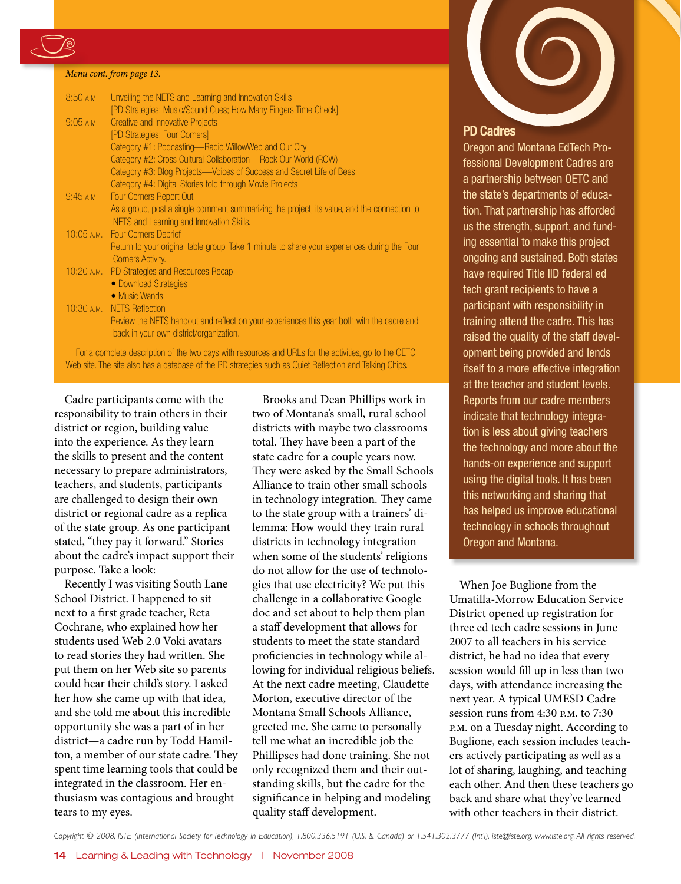

#### *Menu cont. from page 13.*

| 8:50A.M.    | Unveiling the NETS and Learning and Innovation Skills                                        |
|-------------|----------------------------------------------------------------------------------------------|
|             | [PD Strategies: Music/Sound Cues; How Many Fingers Time Check]                               |
| $9:05$ A.M. | Creative and Innovative Projects                                                             |
|             | [PD Strategies: Four Corners]                                                                |
|             | Category #1: Podcasting-Radio WillowWeb and Our City                                         |
|             | Category #2: Cross Cultural Collaboration—Rock Our World (ROW)                               |
|             | Category #3: Blog Projects—Voices of Success and Secret Life of Bees                         |
|             | Category #4: Digital Stories told through Movie Projects                                     |
| 9:45 A.M    | <b>Four Corners Report Out</b>                                                               |
|             | As a group, post a single comment summarizing the project, its value, and the connection to  |
|             | NETS and Learning and Innovation Skills.                                                     |
|             | 10:05 A.M. Four Corners Debrief                                                              |
|             | Return to your original table group. Take 1 minute to share your experiences during the Four |
|             | <b>Corners Activity.</b>                                                                     |
|             | 10:20 A.M. PD Strategies and Resources Recap                                                 |
|             | • Download Strategies                                                                        |
|             | • Music Wands                                                                                |
|             | 10:30 A.M. NETS Reflection                                                                   |
|             | Review the NETS handout and reflect on your experiences this year both with the cadre and    |
|             | back in your own district/organization.                                                      |
|             |                                                                                              |

For a complete description of the two days with resources and URLs for the activities, go to the OETC Web site. The site also has a database of the PD strategies such as Quiet Reflection and Talking Chips.

Cadre participants come with the responsibility to train others in their district or region, building value into the experience. As they learn the skills to present and the content necessary to prepare administrators, teachers, and students, participants are challenged to design their own district or regional cadre as a replica of the state group. As one participant stated, "they pay it forward." Stories about the cadre's impact support their purpose. Take a look:

Recently I was visiting South Lane School District. I happened to sit next to a first grade teacher, Reta Cochrane, who explained how her students used Web 2.0 Voki avatars to read stories they had written. She put them on her Web site so parents could hear their child's story. I asked her how she came up with that idea, and she told me about this incredible opportunity she was a part of in her district—a cadre run by Todd Hamilton, a member of our state cadre. They spent time learning tools that could be integrated in the classroom. Her enthusiasm was contagious and brought tears to my eyes.

Brooks and Dean Phillips work in two of Montana's small, rural school districts with maybe two classrooms total. They have been a part of the state cadre for a couple years now. They were asked by the Small Schools Alliance to train other small schools in technology integration. They came to the state group with a trainers' dilemma: How would they train rural districts in technology integration when some of the students' religions do not allow for the use of technologies that use electricity? We put this challenge in a collaborative Google doc and set about to help them plan a staff development that allows for students to meet the state standard proficiencies in technology while allowing for individual religious beliefs. At the next cadre meeting, Claudette Morton, executive director of the Montana Small Schools Alliance, greeted me. She came to personally tell me what an incredible job the Phillipses had done training. She not only recognized them and their outstanding skills, but the cadre for the significance in helping and modeling quality staff development.



#### PD Cadres

Oregon and Montana EdTech Professional Development Cadres are a partnership between OETC and the state's departments of education. That partnership has afforded us the strength, support, and funding essential to make this project ongoing and sustained. Both states have required Title IID federal ed tech grant recipients to have a participant with responsibility in training attend the cadre. This has raised the quality of the staff development being provided and lends itself to a more effective integration at the teacher and student levels. Reports from our cadre members indicate that technology integration is less about giving teachers the technology and more about the hands-on experience and support using the digital tools. It has been this networking and sharing that has helped us improve educational technology in schools throughout Oregon and Montana.

When Joe Buglione from the Umatilla-Morrow Education Service District opened up registration for three ed tech cadre sessions in June 2007 to all teachers in his service district, he had no idea that every session would fill up in less than two days, with attendance increasing the next year. A typical UMESD Cadre session runs from 4:30 p.m. to 7:30 p.m. on a Tuesday night. According to Buglione, each session includes teachers actively participating as well as a lot of sharing, laughing, and teaching each other. And then these teachers go back and share what they've learned with other teachers in their district.